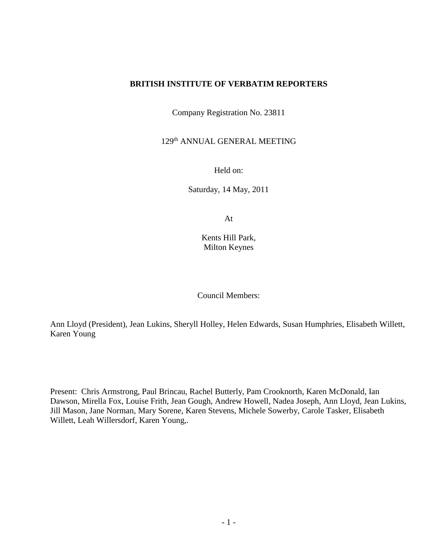#### **BRITISH INSTITUTE OF VERBATIM REPORTERS**

Company Registration No. 23811

129th ANNUAL GENERAL MEETING

Held on:

Saturday, 14 May, 2011

At

Kents Hill Park, Milton Keynes

Council Members:

Ann Lloyd (President), Jean Lukins, Sheryll Holley, Helen Edwards, Susan Humphries, Elisabeth Willett, Karen Young

Present: Chris Armstrong, Paul Brincau, Rachel Butterly, Pam Crooknorth, Karen McDonald, Ian Dawson, Mirella Fox, Louise Frith, Jean Gough, Andrew Howell, Nadea Joseph, Ann Lloyd, Jean Lukins, Jill Mason, Jane Norman, Mary Sorene, Karen Stevens, Michele Sowerby, Carole Tasker, Elisabeth Willett, Leah Willersdorf, Karen Young,.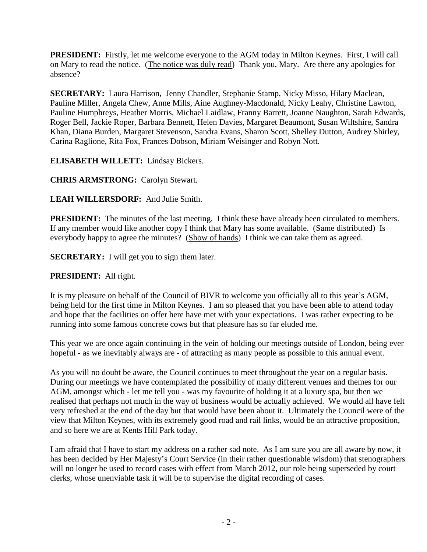**PRESIDENT:** Firstly, let me welcome everyone to the AGM today in Milton Keynes. First, I will call on Mary to read the notice. (The notice was duly read) Thank you, Mary. Are there any apologies for absence?

**SECRETARY:** Laura Harrison, Jenny Chandler, Stephanie Stamp, Nicky Misso, Hilary Maclean, Pauline Miller, Angela Chew, Anne Mills, Aine Aughney-Macdonald, Nicky Leahy, Christine Lawton, Pauline Humphreys, Heather Morris, Michael Laidlaw, Franny Barrett, Joanne Naughton, Sarah Edwards, Roger Bell, Jackie Roper, Barbara Bennett, Helen Davies, Margaret Beaumont, Susan Wiltshire, Sandra Khan, Diana Burden, Margaret Stevenson, Sandra Evans, Sharon Scott, Shelley Dutton, Audrey Shirley, Carina Raglione, Rita Fox, Frances Dobson, Miriam Weisinger and Robyn Nott.

**ELISABETH WILLETT:** Lindsay Bickers.

**CHRIS ARMSTRONG:** Carolyn Stewart.

**LEAH WILLERSDORF:** And Julie Smith.

**PRESIDENT:** The minutes of the last meeting. I think these have already been circulated to members. If any member would like another copy I think that Mary has some available. (Same distributed) Is everybody happy to agree the minutes? (Show of hands) I think we can take them as agreed.

**SECRETARY:** I will get you to sign them later.

**PRESIDENT:** All right.

It is my pleasure on behalf of the Council of BIVR to welcome you officially all to this year's AGM, being held for the first time in Milton Keynes. I am so pleased that you have been able to attend today and hope that the facilities on offer here have met with your expectations. I was rather expecting to be running into some famous concrete cows but that pleasure has so far eluded me.

This year we are once again continuing in the vein of holding our meetings outside of London, being ever hopeful - as we inevitably always are - of attracting as many people as possible to this annual event.

As you will no doubt be aware, the Council continues to meet throughout the year on a regular basis. During our meetings we have contemplated the possibility of many different venues and themes for our AGM, amongst which - let me tell you - was my favourite of holding it at a luxury spa, but then we realised that perhaps not much in the way of business would be actually achieved. We would all have felt very refreshed at the end of the day but that would have been about it. Ultimately the Council were of the view that Milton Keynes, with its extremely good road and rail links, would be an attractive proposition, and so here we are at Kents Hill Park today.

I am afraid that I have to start my address on a rather sad note. As I am sure you are all aware by now, it has been decided by Her Majesty's Court Service (in their rather questionable wisdom) that stenographers will no longer be used to record cases with effect from March 2012, our role being superseded by court clerks, whose unenviable task it will be to supervise the digital recording of cases.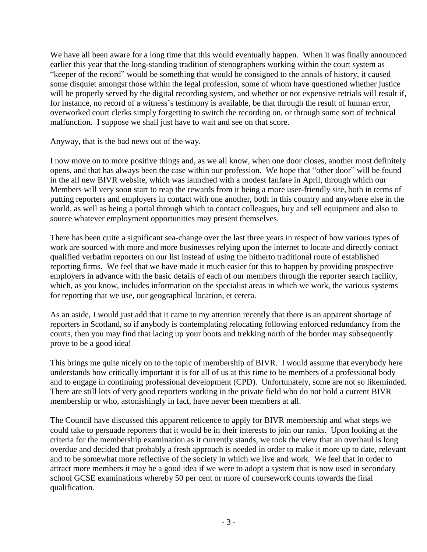We have all been aware for a long time that this would eventually happen. When it was finally announced earlier this year that the long-standing tradition of stenographers working within the court system as "keeper of the record" would be something that would be consigned to the annals of history, it caused some disquiet amongst those within the legal profession, some of whom have questioned whether justice will be properly served by the digital recording system, and whether or not expensive retrials will result if, for instance, no record of a witness's testimony is available, be that through the result of human error, overworked court clerks simply forgetting to switch the recording on, or through some sort of technical malfunction. I suppose we shall just have to wait and see on that score.

Anyway, that is the bad news out of the way.

I now move on to more positive things and, as we all know, when one door closes, another most definitely opens, and that has always been the case within our profession. We hope that "other door" will be found in the all new BIVR website, which was launched with a modest fanfare in April, through which our Members will very soon start to reap the rewards from it being a more user-friendly site, both in terms of putting reporters and employers in contact with one another, both in this country and anywhere else in the world, as well as being a portal through which to contact colleagues, buy and sell equipment and also to source whatever employment opportunities may present themselves.

There has been quite a significant sea-change over the last three years in respect of how various types of work are sourced with more and more businesses relying upon the internet to locate and directly contact qualified verbatim reporters on our list instead of using the hitherto traditional route of established reporting firms. We feel that we have made it much easier for this to happen by providing prospective employers in advance with the basic details of each of our members through the reporter search facility, which, as you know, includes information on the specialist areas in which we work, the various systems for reporting that we use, our geographical location, et cetera.

As an aside, I would just add that it came to my attention recently that there is an apparent shortage of reporters in Scotland, so if anybody is contemplating relocating following enforced redundancy from the courts, then you may find that lacing up your boots and trekking north of the border may subsequently prove to be a good idea!

This brings me quite nicely on to the topic of membership of BIVR. I would assume that everybody here understands how critically important it is for all of us at this time to be members of a professional body and to engage in continuing professional development (CPD). Unfortunately, some are not so likeminded. There are still lots of very good reporters working in the private field who do not hold a current BIVR membership or who, astonishingly in fact, have never been members at all.

The Council have discussed this apparent reticence to apply for BIVR membership and what steps we could take to persuade reporters that it would be in their interests to join our ranks. Upon looking at the criteria for the membership examination as it currently stands, we took the view that an overhaul is long overdue and decided that probably a fresh approach is needed in order to make it more up to date, relevant and to be somewhat more reflective of the society in which we live and work. We feel that in order to attract more members it may be a good idea if we were to adopt a system that is now used in secondary school GCSE examinations whereby 50 per cent or more of coursework counts towards the final qualification.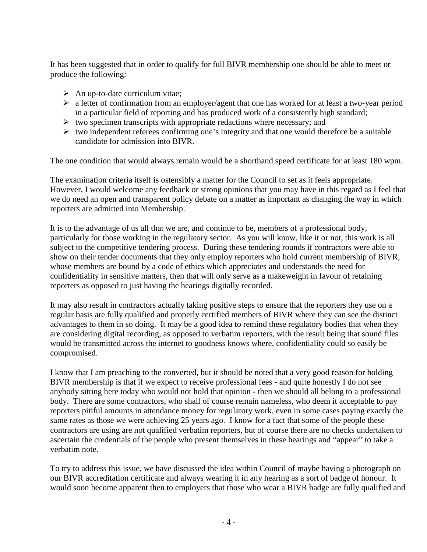It has been suggested that in order to qualify for full BIVR membership one should be able to meet or produce the following:

- $\triangleright$  An up-to-date curriculum vitae;
- $\triangleright$  a letter of confirmation from an employer/agent that one has worked for at least a two-year period in a particular field of reporting and has produced work of a consistently high standard;
- $\triangleright$  two specimen transcripts with appropriate redactions where necessary; and
- $\triangleright$  two independent referees confirming one's integrity and that one would therefore be a suitable candidate for admission into BIVR.

The one condition that would always remain would be a shorthand speed certificate for at least 180 wpm.

The examination criteria itself is ostensibly a matter for the Council to set as it feels appropriate. However, I would welcome any feedback or strong opinions that you may have in this regard as I feel that we do need an open and transparent policy debate on a matter as important as changing the way in which reporters are admitted into Membership.

It is to the advantage of us all that we are, and continue to be, members of a professional body, particularly for those working in the regulatory sector. As you will know, like it or not, this work is all subject to the competitive tendering process. During these tendering rounds if contractors were able to show on their tender documents that they only employ reporters who hold current membership of BIVR, whose members are bound by a code of ethics which appreciates and understands the need for confidentiality in sensitive matters, then that will only serve as a makeweight in favour of retaining reporters as opposed to just having the hearings digitally recorded.

It may also result in contractors actually taking positive steps to ensure that the reporters they use on a regular basis are fully qualified and properly certified members of BIVR where they can see the distinct advantages to them in so doing. It may be a good idea to remind these regulatory bodies that when they are considering digital recording, as opposed to verbatim reporters, with the result being that sound files would be transmitted across the internet to goodness knows where, confidentiality could so easily be compromised.

I know that I am preaching to the converted, but it should be noted that a very good reason for holding BIVR membership is that if we expect to receive professional fees - and quite honestly I do not see anybody sitting here today who would not hold that opinion - then we should all belong to a professional body. There are some contractors, who shall of course remain nameless, who deem it acceptable to pay reporters pitiful amounts in attendance money for regulatory work, even in some cases paying exactly the same rates as those we were achieving 25 years ago. I know for a fact that some of the people these contractors are using are not qualified verbatim reporters, but of course there are no checks undertaken to ascertain the credentials of the people who present themselves in these hearings and "appear" to take a verbatim note.

To try to address this issue, we have discussed the idea within Council of maybe having a photograph on our BIVR accreditation certificate and always wearing it in any hearing as a sort of badge of honour. It would soon become apparent then to employers that those who wear a BIVR badge are fully qualified and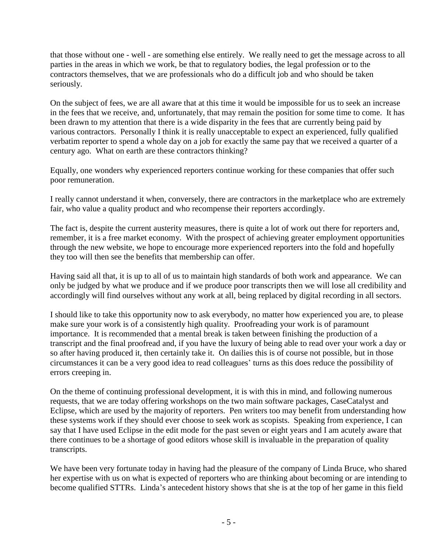that those without one - well - are something else entirely. We really need to get the message across to all parties in the areas in which we work, be that to regulatory bodies, the legal profession or to the contractors themselves, that we are professionals who do a difficult job and who should be taken seriously.

On the subject of fees, we are all aware that at this time it would be impossible for us to seek an increase in the fees that we receive, and, unfortunately, that may remain the position for some time to come. It has been drawn to my attention that there is a wide disparity in the fees that are currently being paid by various contractors. Personally I think it is really unacceptable to expect an experienced, fully qualified verbatim reporter to spend a whole day on a job for exactly the same pay that we received a quarter of a century ago. What on earth are these contractors thinking?

Equally, one wonders why experienced reporters continue working for these companies that offer such poor remuneration.

I really cannot understand it when, conversely, there are contractors in the marketplace who are extremely fair, who value a quality product and who recompense their reporters accordingly.

The fact is, despite the current austerity measures, there is quite a lot of work out there for reporters and, remember, it is a free market economy. With the prospect of achieving greater employment opportunities through the new website, we hope to encourage more experienced reporters into the fold and hopefully they too will then see the benefits that membership can offer.

Having said all that, it is up to all of us to maintain high standards of both work and appearance. We can only be judged by what we produce and if we produce poor transcripts then we will lose all credibility and accordingly will find ourselves without any work at all, being replaced by digital recording in all sectors.

I should like to take this opportunity now to ask everybody, no matter how experienced you are, to please make sure your work is of a consistently high quality. Proofreading your work is of paramount importance. It is recommended that a mental break is taken between finishing the production of a transcript and the final proofread and, if you have the luxury of being able to read over your work a day or so after having produced it, then certainly take it. On dailies this is of course not possible, but in those circumstances it can be a very good idea to read colleagues' turns as this does reduce the possibility of errors creeping in.

On the theme of continuing professional development, it is with this in mind, and following numerous requests, that we are today offering workshops on the two main software packages, CaseCatalyst and Eclipse, which are used by the majority of reporters. Pen writers too may benefit from understanding how these systems work if they should ever choose to seek work as scopists. Speaking from experience, I can say that I have used Eclipse in the edit mode for the past seven or eight years and I am acutely aware that there continues to be a shortage of good editors whose skill is invaluable in the preparation of quality transcripts.

We have been very fortunate today in having had the pleasure of the company of Linda Bruce, who shared her expertise with us on what is expected of reporters who are thinking about becoming or are intending to become qualified STTRs. Linda's antecedent history shows that she is at the top of her game in this field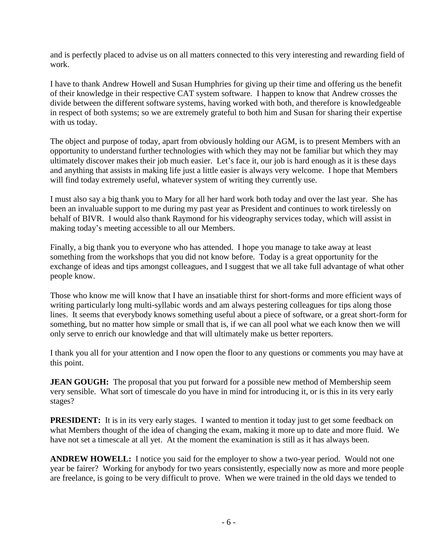and is perfectly placed to advise us on all matters connected to this very interesting and rewarding field of work.

I have to thank Andrew Howell and Susan Humphries for giving up their time and offering us the benefit of their knowledge in their respective CAT system software. I happen to know that Andrew crosses the divide between the different software systems, having worked with both, and therefore is knowledgeable in respect of both systems; so we are extremely grateful to both him and Susan for sharing their expertise with us today.

The object and purpose of today, apart from obviously holding our AGM, is to present Members with an opportunity to understand further technologies with which they may not be familiar but which they may ultimately discover makes their job much easier. Let's face it, our job is hard enough as it is these days and anything that assists in making life just a little easier is always very welcome. I hope that Members will find today extremely useful, whatever system of writing they currently use.

I must also say a big thank you to Mary for all her hard work both today and over the last year. She has been an invaluable support to me during my past year as President and continues to work tirelessly on behalf of BIVR. I would also thank Raymond for his videography services today, which will assist in making today's meeting accessible to all our Members.

Finally, a big thank you to everyone who has attended. I hope you manage to take away at least something from the workshops that you did not know before. Today is a great opportunity for the exchange of ideas and tips amongst colleagues, and I suggest that we all take full advantage of what other people know.

Those who know me will know that I have an insatiable thirst for short-forms and more efficient ways of writing particularly long multi-syllabic words and am always pestering colleagues for tips along those lines. It seems that everybody knows something useful about a piece of software, or a great short-form for something, but no matter how simple or small that is, if we can all pool what we each know then we will only serve to enrich our knowledge and that will ultimately make us better reporters.

I thank you all for your attention and I now open the floor to any questions or comments you may have at this point.

**JEAN GOUGH:** The proposal that you put forward for a possible new method of Membership seem very sensible. What sort of timescale do you have in mind for introducing it, or is this in its very early stages?

**PRESIDENT:** It is in its very early stages. I wanted to mention it today just to get some feedback on what Members thought of the idea of changing the exam, making it more up to date and more fluid. We have not set a timescale at all yet. At the moment the examination is still as it has always been.

**ANDREW HOWELL:** I notice you said for the employer to show a two-year period. Would not one year be fairer? Working for anybody for two years consistently, especially now as more and more people are freelance, is going to be very difficult to prove. When we were trained in the old days we tended to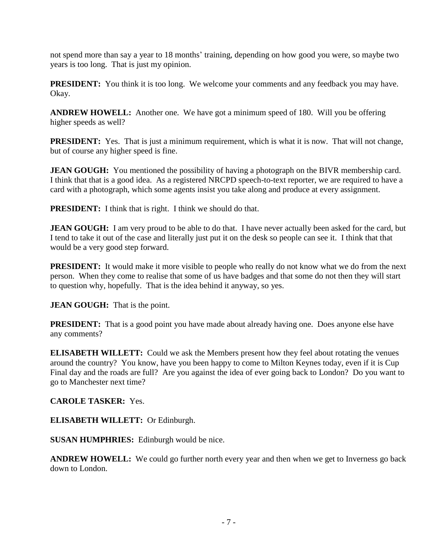not spend more than say a year to 18 months' training, depending on how good you were, so maybe two years is too long. That is just my opinion.

**PRESIDENT:** You think it is too long. We welcome your comments and any feedback you may have. Okay.

**ANDREW HOWELL:** Another one. We have got a minimum speed of 180. Will you be offering higher speeds as well?

**PRESIDENT:** Yes. That is just a minimum requirement, which is what it is now. That will not change, but of course any higher speed is fine.

**JEAN GOUGH:** You mentioned the possibility of having a photograph on the BIVR membership card. I think that that is a good idea. As a registered NRCPD speech-to-text reporter, we are required to have a card with a photograph, which some agents insist you take along and produce at every assignment.

**PRESIDENT:** I think that is right. I think we should do that.

**JEAN GOUGH:** I am very proud to be able to do that. I have never actually been asked for the card, but I tend to take it out of the case and literally just put it on the desk so people can see it. I think that that would be a very good step forward.

**PRESIDENT:** It would make it more visible to people who really do not know what we do from the next person. When they come to realise that some of us have badges and that some do not then they will start to question why, hopefully. That is the idea behind it anyway, so yes.

**JEAN GOUGH:** That is the point.

**PRESIDENT:** That is a good point you have made about already having one. Does anyone else have any comments?

**ELISABETH WILLETT:** Could we ask the Members present how they feel about rotating the venues around the country? You know, have you been happy to come to Milton Keynes today, even if it is Cup Final day and the roads are full? Are you against the idea of ever going back to London? Do you want to go to Manchester next time?

**CAROLE TASKER:** Yes.

**ELISABETH WILLETT:** Or Edinburgh.

**SUSAN HUMPHRIES:** Edinburgh would be nice.

**ANDREW HOWELL:** We could go further north every year and then when we get to Inverness go back down to London.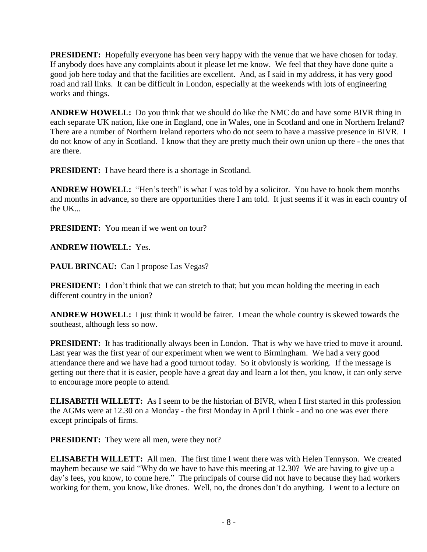**PRESIDENT:** Hopefully everyone has been very happy with the venue that we have chosen for today. If anybody does have any complaints about it please let me know. We feel that they have done quite a good job here today and that the facilities are excellent. And, as I said in my address, it has very good road and rail links. It can be difficult in London, especially at the weekends with lots of engineering works and things.

**ANDREW HOWELL:** Do you think that we should do like the NMC do and have some BIVR thing in each separate UK nation, like one in England, one in Wales, one in Scotland and one in Northern Ireland? There are a number of Northern Ireland reporters who do not seem to have a massive presence in BIVR. I do not know of any in Scotland. I know that they are pretty much their own union up there - the ones that are there.

**PRESIDENT:** I have heard there is a shortage in Scotland.

**ANDREW HOWELL:** "Hen's teeth" is what I was told by a solicitor. You have to book them months and months in advance, so there are opportunities there I am told. It just seems if it was in each country of the UK...

**PRESIDENT:** You mean if we went on tour?

**ANDREW HOWELL:** Yes.

**PAUL BRINCAU:** Can I propose Las Vegas?

**PRESIDENT:** I don't think that we can stretch to that; but you mean holding the meeting in each different country in the union?

**ANDREW HOWELL:** I just think it would be fairer. I mean the whole country is skewed towards the southeast, although less so now.

**PRESIDENT:** It has traditionally always been in London. That is why we have tried to move it around. Last year was the first year of our experiment when we went to Birmingham. We had a very good attendance there and we have had a good turnout today. So it obviously is working. If the message is getting out there that it is easier, people have a great day and learn a lot then, you know, it can only serve to encourage more people to attend.

**ELISABETH WILLETT:** As I seem to be the historian of BIVR, when I first started in this profession the AGMs were at 12.30 on a Monday - the first Monday in April I think - and no one was ever there except principals of firms.

**PRESIDENT:** They were all men, were they not?

**ELISABETH WILLETT:** All men. The first time I went there was with Helen Tennyson. We created mayhem because we said "Why do we have to have this meeting at 12.30? We are having to give up a day's fees, you know, to come here." The principals of course did not have to because they had workers working for them, you know, like drones. Well, no, the drones don't do anything. I went to a lecture on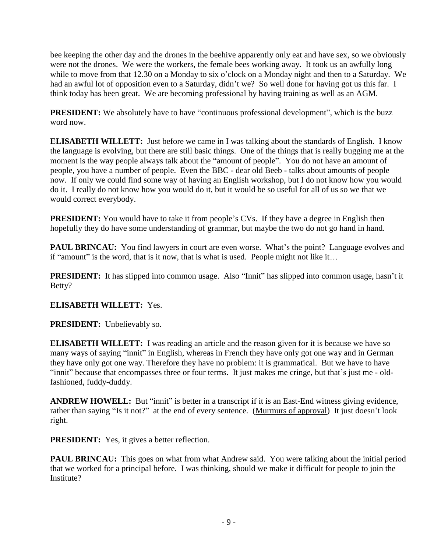bee keeping the other day and the drones in the beehive apparently only eat and have sex, so we obviously were not the drones. We were the workers, the female bees working away. It took us an awfully long while to move from that 12.30 on a Monday to six o'clock on a Monday night and then to a Saturday. We had an awful lot of opposition even to a Saturday, didn't we? So well done for having got us this far. I think today has been great. We are becoming professional by having training as well as an AGM.

**PRESIDENT:** We absolutely have to have "continuous professional development", which is the buzz word now.

**ELISABETH WILLETT:** Just before we came in I was talking about the standards of English. I know the language is evolving, but there are still basic things. One of the things that is really bugging me at the moment is the way people always talk about the "amount of people". You do not have an amount of people, you have a number of people. Even the BBC - dear old Beeb - talks about amounts of people now. If only we could find some way of having an English workshop, but I do not know how you would do it. I really do not know how you would do it, but it would be so useful for all of us so we that we would correct everybody.

**PRESIDENT:** You would have to take it from people's CVs. If they have a degree in English then hopefully they do have some understanding of grammar, but maybe the two do not go hand in hand.

**PAUL BRINCAU:** You find lawyers in court are even worse. What's the point? Language evolves and if "amount" is the word, that is it now, that is what is used. People might not like it…

**PRESIDENT:** It has slipped into common usage. Also "Innit" has slipped into common usage, hasn't it Betty?

## **ELISABETH WILLETT:** Yes.

**PRESIDENT:** Unbelievably so.

**ELISABETH WILLETT:** I was reading an article and the reason given for it is because we have so many ways of saying "innit" in English, whereas in French they have only got one way and in German they have only got one way. Therefore they have no problem: it is grammatical. But we have to have "innit" because that encompasses three or four terms. It just makes me cringe, but that's just me - oldfashioned, fuddy-duddy.

**ANDREW HOWELL:** But "innit" is better in a transcript if it is an East-End witness giving evidence, rather than saying "Is it not?" at the end of every sentence. (Murmurs of approval) It just doesn't look right.

**PRESIDENT:** Yes, it gives a better reflection.

**PAUL BRINCAU:** This goes on what from what Andrew said. You were talking about the initial period that we worked for a principal before. I was thinking, should we make it difficult for people to join the Institute?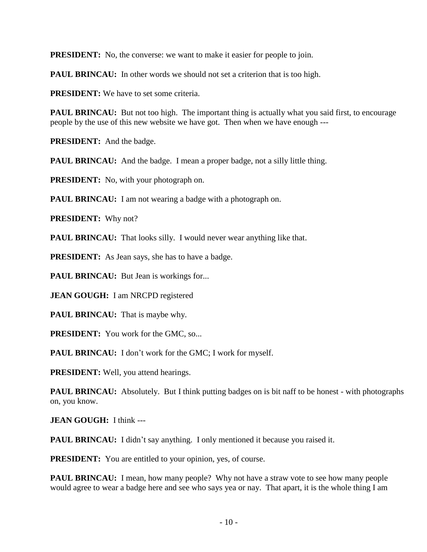**PRESIDENT:** No, the converse: we want to make it easier for people to join.

**PAUL BRINCAU:** In other words we should not set a criterion that is too high.

**PRESIDENT:** We have to set some criteria.

**PAUL BRINCAU:** But not too high. The important thing is actually what you said first, to encourage people by the use of this new website we have got. Then when we have enough ---

**PRESIDENT:** And the badge.

PAUL BRINCAU: And the badge. I mean a proper badge, not a silly little thing.

**PRESIDENT:** No, with your photograph on.

**PAUL BRINCAU:** I am not wearing a badge with a photograph on.

**PRESIDENT:** Why not?

**PAUL BRINCAU:** That looks silly. I would never wear anything like that.

**PRESIDENT:** As Jean says, she has to have a badge.

**PAUL BRINCAU:** But Jean is workings for...

**JEAN GOUGH:** I am NRCPD registered

**PAUL BRINCAU:** That is maybe why.

**PRESIDENT:** You work for the GMC, so...

**PAUL BRINCAU:** I don't work for the GMC; I work for myself.

**PRESIDENT:** Well, you attend hearings.

**PAUL BRINCAU:** Absolutely. But I think putting badges on is bit naff to be honest - with photographs on, you know.

**JEAN GOUGH:** I think ---

**PAUL BRINCAU:** I didn't say anything. I only mentioned it because you raised it.

**PRESIDENT:** You are entitled to your opinion, yes, of course.

**PAUL BRINCAU:** I mean, how many people? Why not have a straw vote to see how many people would agree to wear a badge here and see who says yea or nay. That apart, it is the whole thing I am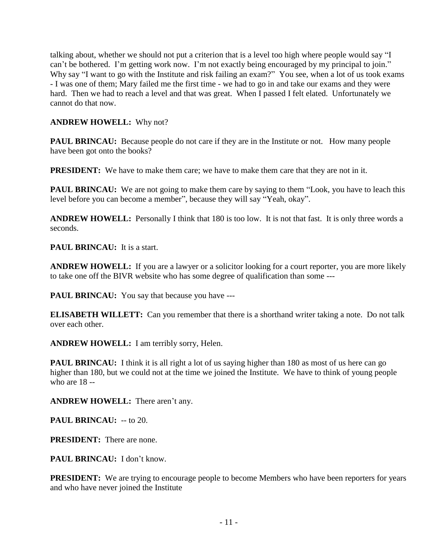talking about, whether we should not put a criterion that is a level too high where people would say "I can't be bothered. I'm getting work now. I'm not exactly being encouraged by my principal to join." Why say "I want to go with the Institute and risk failing an exam?" You see, when a lot of us took exams - I was one of them; Mary failed me the first time - we had to go in and take our exams and they were hard. Then we had to reach a level and that was great. When I passed I felt elated. Unfortunately we cannot do that now.

### **ANDREW HOWELL:** Why not?

**PAUL BRINCAU:** Because people do not care if they are in the Institute or not. How many people have been got onto the books?

**PRESIDENT:** We have to make them care; we have to make them care that they are not in it.

**PAUL BRINCAU:** We are not going to make them care by saying to them "Look, you have to leach this level before you can become a member", because they will say "Yeah, okay".

**ANDREW HOWELL:** Personally I think that 180 is too low. It is not that fast. It is only three words a seconds.

**PAUL BRINCAU:** It is a start.

**ANDREW HOWELL:** If you are a lawyer or a solicitor looking for a court reporter, you are more likely to take one off the BIVR website who has some degree of qualification than some ---

**PAUL BRINCAU:** You say that because you have ---

**ELISABETH WILLETT:** Can you remember that there is a shorthand writer taking a note. Do not talk over each other.

**ANDREW HOWELL:** I am terribly sorry, Helen.

**PAUL BRINCAU:** I think it is all right a lot of us saying higher than 180 as most of us here can go higher than 180, but we could not at the time we joined the Institute. We have to think of young people who are 18 --

**ANDREW HOWELL:** There aren't any.

**PAUL BRINCAU:** -- to 20.

**PRESIDENT:** There are none.

PAUL BRINCAU: I don't know.

**PRESIDENT:** We are trying to encourage people to become Members who have been reporters for years and who have never joined the Institute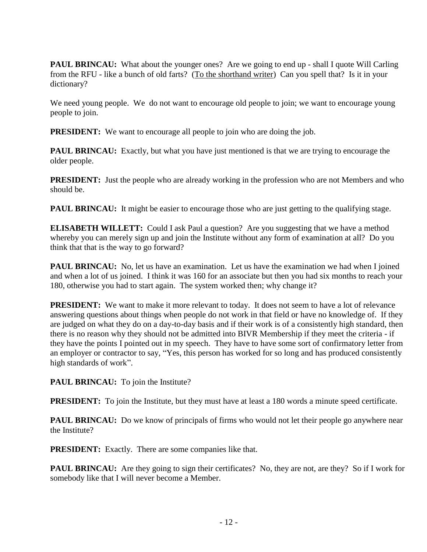**PAUL BRINCAU:** What about the younger ones? Are we going to end up - shall I quote Will Carling from the RFU - like a bunch of old farts? (To the shorthand writer) Can you spell that? Is it in your dictionary?

We need young people. We do not want to encourage old people to join; we want to encourage young people to join.

**PRESIDENT:** We want to encourage all people to join who are doing the job.

**PAUL BRINCAU:** Exactly, but what you have just mentioned is that we are trying to encourage the older people.

**PRESIDENT:** Just the people who are already working in the profession who are not Members and who should be.

**PAUL BRINCAU:** It might be easier to encourage those who are just getting to the qualifying stage.

**ELISABETH WILLETT:** Could I ask Paul a question? Are you suggesting that we have a method whereby you can merely sign up and join the Institute without any form of examination at all? Do you think that that is the way to go forward?

**PAUL BRINCAU:** No, let us have an examination. Let us have the examination we had when I joined and when a lot of us joined. I think it was 160 for an associate but then you had six months to reach your 180, otherwise you had to start again. The system worked then; why change it?

**PRESIDENT:** We want to make it more relevant to today. It does not seem to have a lot of relevance answering questions about things when people do not work in that field or have no knowledge of. If they are judged on what they do on a day-to-day basis and if their work is of a consistently high standard, then there is no reason why they should not be admitted into BIVR Membership if they meet the criteria - if they have the points I pointed out in my speech. They have to have some sort of confirmatory letter from an employer or contractor to say, "Yes, this person has worked for so long and has produced consistently high standards of work".

PAUL BRINCAU: To join the Institute?

**PRESIDENT:** To join the Institute, but they must have at least a 180 words a minute speed certificate.

**PAUL BRINCAU:** Do we know of principals of firms who would not let their people go anywhere near the Institute?

**PRESIDENT:** Exactly. There are some companies like that.

**PAUL BRINCAU:** Are they going to sign their certificates? No, they are not, are they? So if I work for somebody like that I will never become a Member.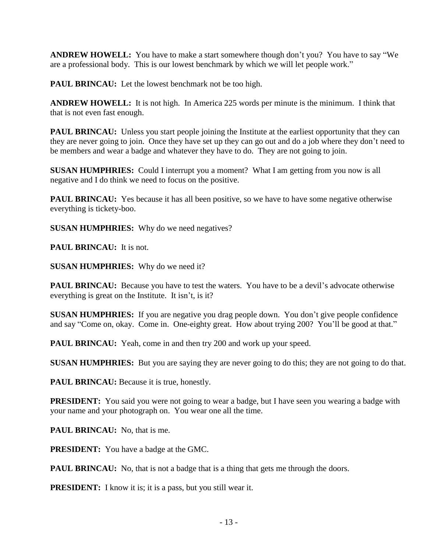**ANDREW HOWELL:** You have to make a start somewhere though don't you? You have to say "We are a professional body. This is our lowest benchmark by which we will let people work."

**PAUL BRINCAU:** Let the lowest benchmark not be too high.

**ANDREW HOWELL:** It is not high. In America 225 words per minute is the minimum. I think that that is not even fast enough.

**PAUL BRINCAU:** Unless you start people joining the Institute at the earliest opportunity that they can they are never going to join. Once they have set up they can go out and do a job where they don't need to be members and wear a badge and whatever they have to do. They are not going to join.

**SUSAN HUMPHRIES:** Could I interrupt you a moment? What I am getting from you now is all negative and I do think we need to focus on the positive.

**PAUL BRINCAU:** Yes because it has all been positive, so we have to have some negative otherwise everything is tickety-boo.

**SUSAN HUMPHRIES:** Why do we need negatives?

**PAUL BRINCAU:** It is not.

**SUSAN HUMPHRIES:** Why do we need it?

**PAUL BRINCAU:** Because you have to test the waters. You have to be a devil's advocate otherwise everything is great on the Institute. It isn't, is it?

**SUSAN HUMPHRIES:** If you are negative you drag people down. You don't give people confidence and say "Come on, okay. Come in. One-eighty great. How about trying 200? You'll be good at that."

**PAUL BRINCAU:** Yeah, come in and then try 200 and work up your speed.

**SUSAN HUMPHRIES:** But you are saying they are never going to do this; they are not going to do that.

**PAUL BRINCAU:** Because it is true, honestly.

**PRESIDENT:** You said you were not going to wear a badge, but I have seen you wearing a badge with your name and your photograph on. You wear one all the time.

**PAUL BRINCAU:** No, that is me.

**PRESIDENT:** You have a badge at the GMC.

**PAUL BRINCAU:** No, that is not a badge that is a thing that gets me through the doors.

**PRESIDENT:** I know it is; it is a pass, but you still wear it.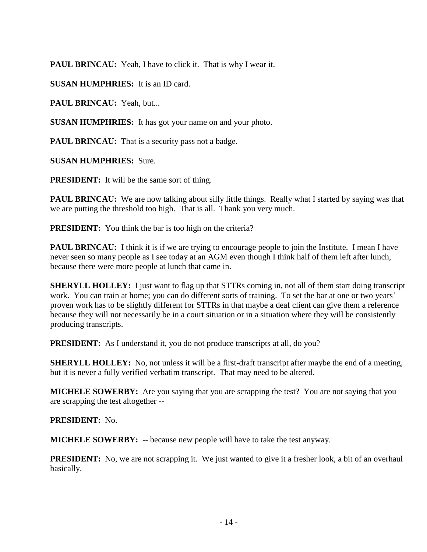**PAUL BRINCAU:** Yeah, I have to click it. That is why I wear it.

**SUSAN HUMPHRIES:** It is an ID card.

**PAUL BRINCAU:** Yeah, but...

**SUSAN HUMPHRIES:** It has got your name on and your photo.

**PAUL BRINCAU:** That is a security pass not a badge.

**SUSAN HUMPHRIES:** Sure.

**PRESIDENT:** It will be the same sort of thing.

**PAUL BRINCAU:** We are now talking about silly little things. Really what I started by saying was that we are putting the threshold too high. That is all. Thank you very much.

**PRESIDENT:** You think the bar is too high on the criteria?

**PAUL BRINCAU:** I think it is if we are trying to encourage people to join the Institute. I mean I have never seen so many people as I see today at an AGM even though I think half of them left after lunch, because there were more people at lunch that came in.

**SHERYLL HOLLEY:** I just want to flag up that STTRs coming in, not all of them start doing transcript work. You can train at home; you can do different sorts of training. To set the bar at one or two years' proven work has to be slightly different for STTRs in that maybe a deaf client can give them a reference because they will not necessarily be in a court situation or in a situation where they will be consistently producing transcripts.

**PRESIDENT:** As I understand it, you do not produce transcripts at all, do you?

**SHERYLL HOLLEY:** No, not unless it will be a first-draft transcript after maybe the end of a meeting, but it is never a fully verified verbatim transcript. That may need to be altered.

**MICHELE SOWERBY:** Are you saying that you are scrapping the test? You are not saying that you are scrapping the test altogether --

**PRESIDENT:** No.

**MICHELE SOWERBY:** -- because new people will have to take the test anyway.

**PRESIDENT:** No, we are not scrapping it. We just wanted to give it a fresher look, a bit of an overhaul basically.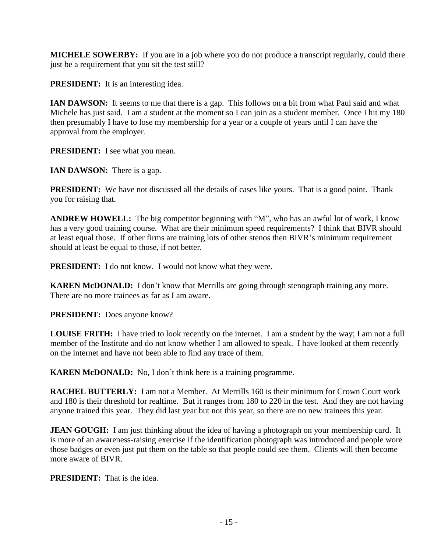**MICHELE SOWERBY:** If you are in a job where you do not produce a transcript regularly, could there just be a requirement that you sit the test still?

**PRESIDENT:** It is an interesting idea.

**IAN DAWSON:** It seems to me that there is a gap. This follows on a bit from what Paul said and what Michele has just said. I am a student at the moment so I can join as a student member. Once I hit my 180 then presumably I have to lose my membership for a year or a couple of years until I can have the approval from the employer.

**PRESIDENT:** I see what you mean.

**IAN DAWSON:** There is a gap.

**PRESIDENT:** We have not discussed all the details of cases like yours. That is a good point. Thank you for raising that.

**ANDREW HOWELL:** The big competitor beginning with "M", who has an awful lot of work, I know has a very good training course. What are their minimum speed requirements? I think that BIVR should at least equal those. If other firms are training lots of other stenos then BIVR's minimum requirement should at least be equal to those, if not better.

**PRESIDENT:** I do not know. I would not know what they were.

**KAREN McDONALD:** I don't know that Merrills are going through stenograph training any more. There are no more trainees as far as I am aware.

**PRESIDENT:** Does anyone know?

**LOUISE FRITH:** I have tried to look recently on the internet. I am a student by the way; I am not a full member of the Institute and do not know whether I am allowed to speak. I have looked at them recently on the internet and have not been able to find any trace of them.

**KAREN McDONALD:** No, I don't think here is a training programme.

**RACHEL BUTTERLY:** I am not a Member. At Merrills 160 is their minimum for Crown Court work and 180 is their threshold for realtime. But it ranges from 180 to 220 in the test. And they are not having anyone trained this year. They did last year but not this year, so there are no new trainees this year.

**JEAN GOUGH:** I am just thinking about the idea of having a photograph on your membership card. It is more of an awareness-raising exercise if the identification photograph was introduced and people wore those badges or even just put them on the table so that people could see them. Clients will then become more aware of BIVR.

**PRESIDENT:** That is the idea.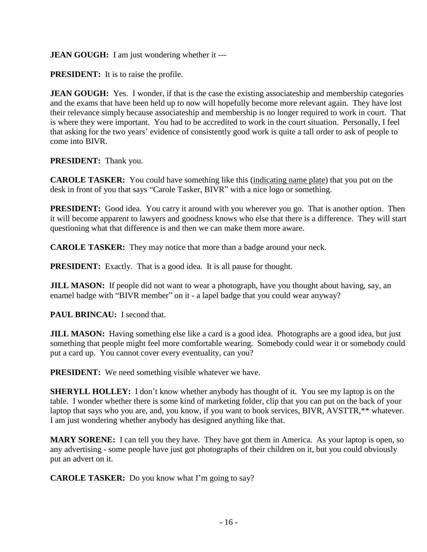### **JEAN GOUGH:** I am just wondering whether it ---

**PRESIDENT:** It is to raise the profile.

**JEAN GOUGH:** Yes. I wonder, if that is the case the existing associateship and membership categories and the exams that have been held up to now will hopefully become more relevant again. They have lost their relevance simply because associateship and membership is no longer required to work in court. That is where they were important. You had to be accredited to work in the court situation. Personally, I feel that asking for the two years' evidence of consistently good work is quite a tall order to ask of people to come into BIVR.

#### **PRESIDENT:** Thank you.

**CAROLE TASKER:** You could have something like this (indicating name plate) that you put on the desk in front of you that says "Carole Tasker, BIVR" with a nice logo or something.

**PRESIDENT:** Good idea. You carry it around with you wherever you go. That is another option. Then it will become apparent to lawyers and goodness knows who else that there is a difference. They will start questioning what that difference is and then we can make them more aware.

**CAROLE TASKER:** They may notice that more than a badge around your neck.

**PRESIDENT:** Exactly. That is a good idea. It is all pause for thought.

**JILL MASON:** If people did not want to wear a photograph, have you thought about having, say, an enamel badge with "BIVR member" on it - a lapel badge that you could wear anyway?

**PAUL BRINCAU:** I second that.

**JILL MASON:** Having something else like a card is a good idea. Photographs are a good idea, but just something that people might feel more comfortable wearing. Somebody could wear it or somebody could put a card up. You cannot cover every eventuality, can you?

**PRESIDENT:** We need something visible whatever we have.

**SHERYLL HOLLEY:** I don't know whether anybody has thought of it. You see my laptop is on the table. I wonder whether there is some kind of marketing folder, clip that you can put on the back of your laptop that says who you are, and, you know, if you want to book services, BIVR, AVSTTR,\*\* whatever. I am just wondering whether anybody has designed anything like that.

**MARY SORENE:** I can tell you they have. They have got them in America. As your laptop is open, so any advertising - some people have just got photographs of their children on it, but you could obviously put an advert on it.

**CAROLE TASKER:** Do you know what I'm going to say?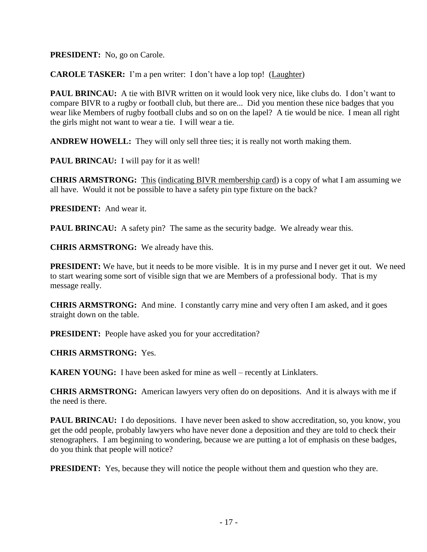**PRESIDENT:** No, go on Carole.

**CAROLE TASKER:** I'm a pen writer: I don't have a lop top! (Laughter)

**PAUL BRINCAU:** A tie with BIVR written on it would look very nice, like clubs do. I don't want to compare BIVR to a rugby or football club, but there are... Did you mention these nice badges that you wear like Members of rugby football clubs and so on on the lapel? A tie would be nice. I mean all right the girls might not want to wear a tie. I will wear a tie.

**ANDREW HOWELL:** They will only sell three ties; it is really not worth making them.

PAUL BRINCAU: I will pay for it as well!

**CHRIS ARMSTRONG:** This (indicating BIVR membership card) is a copy of what I am assuming we all have. Would it not be possible to have a safety pin type fixture on the back?

**PRESIDENT:** And wear it.

**PAUL BRINCAU:** A safety pin? The same as the security badge. We already wear this.

**CHRIS ARMSTRONG:** We already have this.

**PRESIDENT:** We have, but it needs to be more visible. It is in my purse and I never get it out. We need to start wearing some sort of visible sign that we are Members of a professional body. That is my message really.

**CHRIS ARMSTRONG:** And mine. I constantly carry mine and very often I am asked, and it goes straight down on the table.

**PRESIDENT:** People have asked you for your accreditation?

**CHRIS ARMSTRONG:** Yes.

**KAREN YOUNG:** I have been asked for mine as well – recently at Linklaters.

**CHRIS ARMSTRONG:** American lawyers very often do on depositions. And it is always with me if the need is there.

**PAUL BRINCAU:** I do depositions. I have never been asked to show accreditation, so, you know, you get the odd people, probably lawyers who have never done a deposition and they are told to check their stenographers. I am beginning to wondering, because we are putting a lot of emphasis on these badges, do you think that people will notice?

**PRESIDENT:** Yes, because they will notice the people without them and question who they are.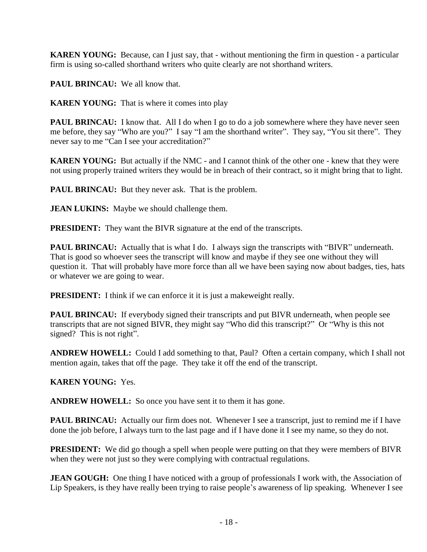**KAREN YOUNG:** Because, can I just say, that - without mentioning the firm in question - a particular firm is using so-called shorthand writers who quite clearly are not shorthand writers.

**PAUL BRINCAU:** We all know that.

**KAREN YOUNG:** That is where it comes into play

**PAUL BRINCAU:** I know that. All I do when I go to do a job somewhere where they have never seen me before, they say "Who are you?" I say "I am the shorthand writer". They say, "You sit there". They never say to me "Can I see your accreditation?"

**KAREN YOUNG:** But actually if the NMC - and I cannot think of the other one - knew that they were not using properly trained writers they would be in breach of their contract, so it might bring that to light.

**PAUL BRINCAU:** But they never ask. That is the problem.

**JEAN LUKINS:** Maybe we should challenge them.

**PRESIDENT:** They want the BIVR signature at the end of the transcripts.

**PAUL BRINCAU:** Actually that is what I do. I always sign the transcripts with "BIVR" underneath. That is good so whoever sees the transcript will know and maybe if they see one without they will question it. That will probably have more force than all we have been saying now about badges, ties, hats or whatever we are going to wear.

**PRESIDENT:** I think if we can enforce it it is just a makeweight really.

**PAUL BRINCAU:** If everybody signed their transcripts and put BIVR underneath, when people see transcripts that are not signed BIVR, they might say "Who did this transcript?" Or "Why is this not signed? This is not right".

**ANDREW HOWELL:** Could I add something to that, Paul? Often a certain company, which I shall not mention again, takes that off the page. They take it off the end of the transcript.

**KAREN YOUNG:** Yes.

**ANDREW HOWELL:** So once you have sent it to them it has gone.

**PAUL BRINCAU:** Actually our firm does not. Whenever I see a transcript, just to remind me if I have done the job before, I always turn to the last page and if I have done it I see my name, so they do not.

**PRESIDENT:** We did go though a spell when people were putting on that they were members of BIVR when they were not just so they were complying with contractual regulations.

**JEAN GOUGH:** One thing I have noticed with a group of professionals I work with, the Association of Lip Speakers, is they have really been trying to raise people's awareness of lip speaking. Whenever I see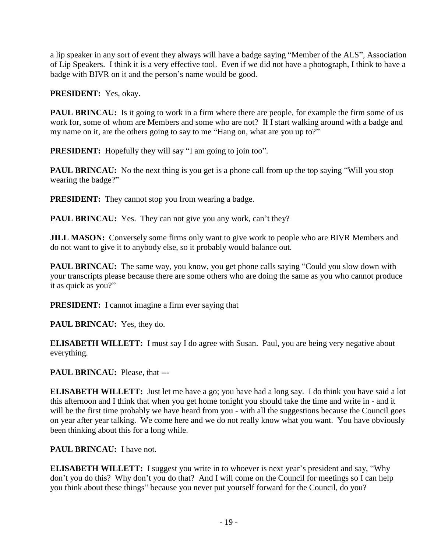a lip speaker in any sort of event they always will have a badge saying "Member of the ALS", Association of Lip Speakers. I think it is a very effective tool. Even if we did not have a photograph, I think to have a badge with BIVR on it and the person's name would be good.

**PRESIDENT:** Yes, okay.

**PAUL BRINCAU:** Is it going to work in a firm where there are people, for example the firm some of us work for, some of whom are Members and some who are not? If I start walking around with a badge and my name on it, are the others going to say to me "Hang on, what are you up to?"

**PRESIDENT:** Hopefully they will say "I am going to join too".

**PAUL BRINCAU:** No the next thing is you get is a phone call from up the top saying "Will you stop wearing the badge?"

**PRESIDENT:** They cannot stop you from wearing a badge.

PAUL BRINCAU: Yes. They can not give you any work, can't they?

**JILL MASON:** Conversely some firms only want to give work to people who are BIVR Members and do not want to give it to anybody else, so it probably would balance out.

**PAUL BRINCAU:** The same way, you know, you get phone calls saying "Could you slow down with your transcripts please because there are some others who are doing the same as you who cannot produce it as quick as you?"

**PRESIDENT:** I cannot imagine a firm ever saying that

**PAUL BRINCAU:** Yes, they do.

**ELISABETH WILLETT:** I must say I do agree with Susan. Paul, you are being very negative about everything.

**PAUL BRINCAU:** Please, that ---

**ELISABETH WILLETT:** Just let me have a go; you have had a long say. I do think you have said a lot this afternoon and I think that when you get home tonight you should take the time and write in - and it will be the first time probably we have heard from you - with all the suggestions because the Council goes on year after year talking. We come here and we do not really know what you want. You have obviously been thinking about this for a long while.

# **PAUL BRINCAU:** I have not.

**ELISABETH WILLETT:** I suggest you write in to whoever is next year's president and say, "Why don't you do this? Why don't you do that? And I will come on the Council for meetings so I can help you think about these things" because you never put yourself forward for the Council, do you?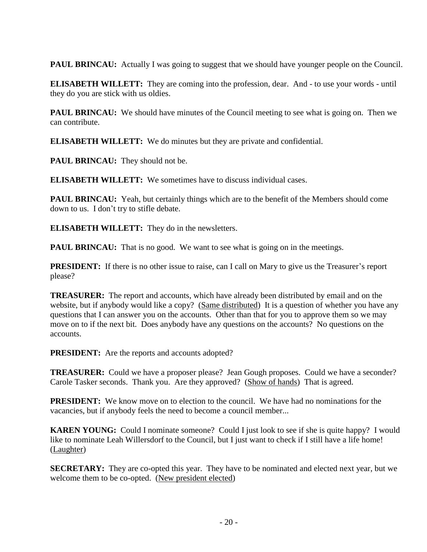**PAUL BRINCAU:** Actually I was going to suggest that we should have younger people on the Council.

**ELISABETH WILLETT:** They are coming into the profession, dear. And - to use your words - until they do you are stick with us oldies.

**PAUL BRINCAU:** We should have minutes of the Council meeting to see what is going on. Then we can contribute.

**ELISABETH WILLETT:** We do minutes but they are private and confidential.

**PAUL BRINCAU:** They should not be.

**ELISABETH WILLETT:** We sometimes have to discuss individual cases.

**PAUL BRINCAU:** Yeah, but certainly things which are to the benefit of the Members should come down to us. I don't try to stifle debate.

**ELISABETH WILLETT:** They do in the newsletters.

**PAUL BRINCAU:** That is no good. We want to see what is going on in the meetings.

**PRESIDENT:** If there is no other issue to raise, can I call on Mary to give us the Treasurer's report please?

**TREASURER:** The report and accounts, which have already been distributed by email and on the website, but if anybody would like a copy? (Same distributed) It is a question of whether you have any questions that I can answer you on the accounts. Other than that for you to approve them so we may move on to if the next bit. Does anybody have any questions on the accounts? No questions on the accounts.

**PRESIDENT:** Are the reports and accounts adopted?

**TREASURER:** Could we have a proposer please? Jean Gough proposes. Could we have a seconder? Carole Tasker seconds. Thank you. Are they approved? (Show of hands) That is agreed.

**PRESIDENT:** We know move on to election to the council. We have had no nominations for the vacancies, but if anybody feels the need to become a council member...

**KAREN YOUNG:** Could I nominate someone? Could I just look to see if she is quite happy? I would like to nominate Leah Willersdorf to the Council, but I just want to check if I still have a life home! (Laughter)

**SECRETARY:** They are co-opted this year. They have to be nominated and elected next year, but we welcome them to be co-opted. (New president elected)